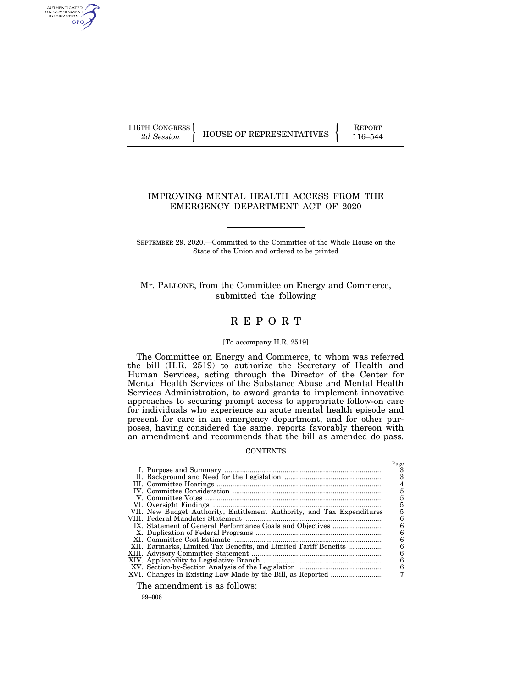AUTHENTICATED<br>U.S. GOVERNMENT<br>INFORMATION GPO

116TH CONGRESS HOUSE OF REPRESENTATIVES FEPORT 116–544

## IMPROVING MENTAL HEALTH ACCESS FROM THE EMERGENCY DEPARTMENT ACT OF 2020

SEPTEMBER 29, 2020.—Committed to the Committee of the Whole House on the State of the Union and ordered to be printed

Mr. PALLONE, from the Committee on Energy and Commerce, submitted the following

# R E P O R T

#### [To accompany H.R. 2519]

The Committee on Energy and Commerce, to whom was referred the bill (H.R. 2519) to authorize the Secretary of Health and Human Services, acting through the Director of the Center for Mental Health Services of the Substance Abuse and Mental Health Services Administration, to award grants to implement innovative approaches to securing prompt access to appropriate follow-on care for individuals who experience an acute mental health episode and present for care in an emergency department, and for other purposes, having considered the same, reports favorably thereon with an amendment and recommends that the bill as amended do pass.

#### **CONTENTS**

|                                                                        | Page |
|------------------------------------------------------------------------|------|
|                                                                        | з    |
|                                                                        |      |
|                                                                        | 4    |
|                                                                        | 5    |
|                                                                        | 5    |
|                                                                        |      |
| VII. New Budget Authority, Entitlement Authority, and Tax Expenditures |      |
|                                                                        | 6    |
|                                                                        | 6    |
|                                                                        | 6    |
|                                                                        | 6    |
| XII. Earmarks, Limited Tax Benefits, and Limited Tariff Benefits       | 6    |
|                                                                        | 6    |
|                                                                        | 6    |
|                                                                        | 6    |
|                                                                        |      |
|                                                                        |      |

The amendment is as follows:

99–006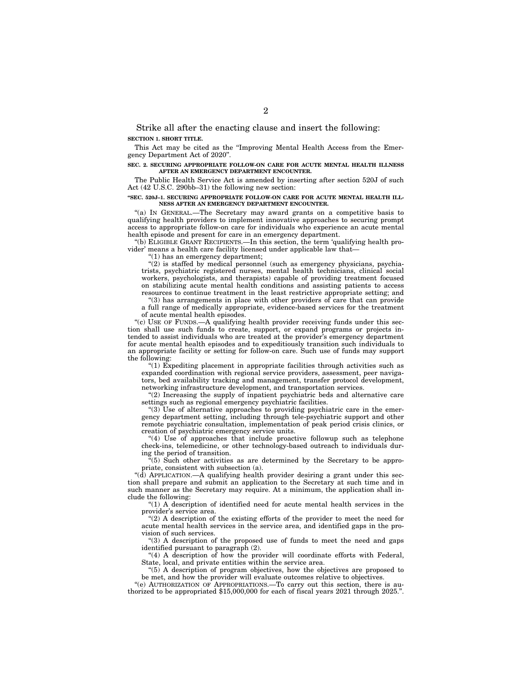Strike all after the enacting clause and insert the following: **SECTION 1. SHORT TITLE.** 

This Act may be cited as the "Improving Mental Health Access from the Emergency Department Act of 2020''.

**SEC. 2. SECURING APPROPRIATE FOLLOW-ON CARE FOR ACUTE MENTAL HEALTH ILLNESS AFTER AN EMERGENCY DEPARTMENT ENCOUNTER.** 

The Public Health Service Act is amended by inserting after section 520J of such Act (42 U.S.C. 290bb–31) the following new section:

#### **''SEC. 520J–1. SECURING APPROPRIATE FOLLOW-ON CARE FOR ACUTE MENTAL HEALTH ILL-NESS AFTER AN EMERGENCY DEPARTMENT ENCOUNTER.**

''(a) IN GENERAL.—The Secretary may award grants on a competitive basis to qualifying health providers to implement innovative approaches to securing prompt access to appropriate follow-on care for individuals who experience an acute mental health episode and present for care in an emergency department.

''(b) ELIGIBLE GRANT RECIPIENTS.—In this section, the term 'qualifying health provider' means a health care facility licensed under applicable law that—

''(1) has an emergency department;

 $(2)$  is staffed by medical personnel (such as emergency physicians, psychiatrists, psychiatric registered nurses, mental health technicians, clinical social workers, psychologists, and therapists) capable of providing treatment focused on stabilizing acute mental health conditions and assisting patients to access resources to continue treatment in the least restrictive appropriate setting; and

''(3) has arrangements in place with other providers of care that can provide a full range of medically appropriate, evidence-based services for the treatment of acute mental health episodes.

"(c) USE OF FUNDS.—A qualifying health provider receiving funds under this section shall use such funds to create, support, or expand programs or projects intended to assist individuals who are treated at the provider's emergency department for acute mental health episodes and to expeditiously transition such individuals to an appropriate facility or setting for follow-on care. Such use of funds may support the following:

''(1) Expediting placement in appropriate facilities through activities such as expanded coordination with regional service providers, assessment, peer navigators, bed availability tracking and management, transfer protocol development, networking infrastructure development, and transportation services.

"(2) Increasing the supply of inpatient psychiatric beds and alternative care settings such as regional emergency psychiatric facilities.

"(3) Use of alternative approaches to providing psychiatric care in the emergency department setting, including through tele-psychiatric support and other remote psychiatric consultation, implementation of peak period crisis clinics, or creation of psychiatric emergency service units.

"(4) Use of approaches that include proactive followup such as telephone check-ins, telemedicine, or other technology-based outreach to individuals during the period of transition.

''(5) Such other activities as are determined by the Secretary to be appropriate, consistent with subsection (a).

"( $d$ ) APPLICATION.—A qualifying health provider desiring a grant under this section shall prepare and submit an application to the Secretary at such time and in such manner as the Secretary may require. At a minimum, the application shall include the following:

"(1) A description of identified need for acute mental health services in the provider's service area.

"(2) A description of the existing efforts of the provider to meet the need for acute mental health services in the service area, and identified gaps in the provision of such services.

''(3) A description of the proposed use of funds to meet the need and gaps identified pursuant to paragraph (2).

"(4) A description of how the provider will coordinate efforts with Federal, State, local, and private entities within the service area.

''(5) A description of program objectives, how the objectives are proposed to be met, and how the provider will evaluate outcomes relative to objectives.

''(e) AUTHORIZATION OF APPROPRIATIONS.—To carry out this section, there is authorized to be appropriated \$15,000,000 for each of fiscal years 2021 through 2025.''.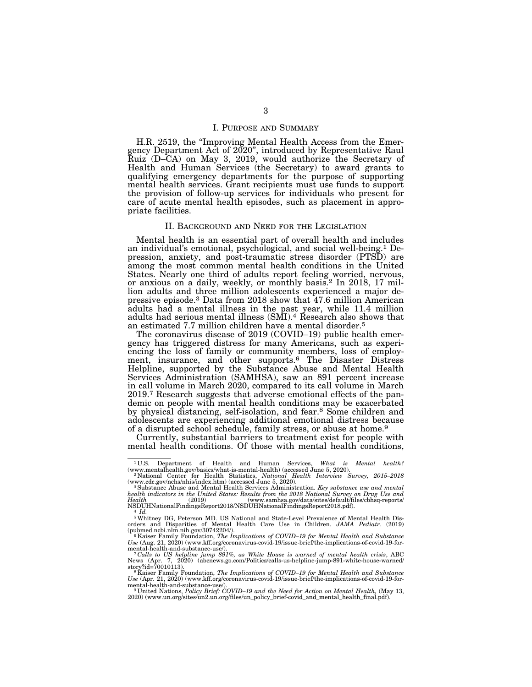#### I. PURPOSE AND SUMMARY

H.R. 2519, the ''Improving Mental Health Access from the Emergency Department Act of 2020'', introduced by Representative Raul Ruiz (D–CA) on May 3, 2019, would authorize the Secretary of Health and Human Services (the Secretary) to award grants to qualifying emergency departments for the purpose of supporting mental health services. Grant recipients must use funds to support the provision of follow-up services for individuals who present for care of acute mental health episodes, such as placement in appropriate facilities.

#### II. BACKGROUND AND NEED FOR THE LEGISLATION

Mental health is an essential part of overall health and includes an individual's emotional, psychological, and social well-being.1 Depression, anxiety, and post-traumatic stress disorder (PTSD) are among the most common mental health conditions in the United States. Nearly one third of adults report feeling worried, nervous, or anxious on a daily, weekly, or monthly basis.2 In 2018, 17 million adults and three million adolescents experienced a major depressive episode.3 Data from 2018 show that 47.6 million American adults had a mental illness in the past year, while 11.4 million adults had serious mental illness (SMI).4 Research also shows that an estimated 7.7 million children have a mental disorder.5

The coronavirus disease of 2019 (COVID–19) public health emergency has triggered distress for many Americans, such as experiencing the loss of family or community members, loss of employment, insurance, and other supports.<sup>6</sup> The Disaster Distress Helpline, supported by the Substance Abuse and Mental Health Services Administration (SAMHSA), saw an 891 percent increase in call volume in March 2020, compared to its call volume in March 2019.7 Research suggests that adverse emotional effects of the pandemic on people with mental health conditions may be exacerbated by physical distancing, self-isolation, and fear.8 Some children and adolescents are experiencing additional emotional distress because of a disrupted school schedule, family stress, or abuse at home.9

Currently, substantial barriers to treatment exist for people with mental health conditions. Of those with mental health conditions,

 $1 \, \rm{U.S.}$  Department of Health and Human Services,  $What$  is  $Mental$   $health?$   $(www.mental health.gov/basics/what-is-mental-health)$   $(accessed\, June\, 5,\, 2020).$ (www.mentalhealth.gov/basics/what-is-mental-health) (accessed June 5, 2020). 2 National Center for Health Statistics, *National Health Interview Survey, 2015–2018* 

<sup>(</sup>www.cdc.gov/nchs/nhis/index.htm) (accessed June 5, 2020). 3Substance Abuse and Mental Health Services Administration. *Key substance use and mental* 

*health indicators in the United States: Results from the 2018 National Survey on Drug Use and Health* (2019) (www.samhsa.gov/data/sites/default/files/cbhsq-reports/

 $\begin{array}{lcl} \text{NSDUHNationalFindingsReport2018/NSDUHNational FindingsReport2018.pdf).\\ \hspace{0.5cm} ^{4} \; Id. \\ \hspace{0.5cm} ^{5} \; Wh \text{it} \\ \text{in} \\ \text{in} \\ \text{on} \\ \text{in} \\ \text{in} \\ \text{in} \\ \text{in} \\ \text{in} \\ \text{in} \\ \text{in} \\ \text{in} \\ \text{in} \\ \text{in} \\ \text{in} \\ \text{in} \\ \text{in} \\ \text{in} \\ \text{in} \\ \text{in} \\ \text{in} \\ \text{in} \\ \text{in} \\ \text{in} \\ \text{in}$ 

<sup>(</sup>pubmed.ncbi.nlm.nih.gov/30742204/).<br><sup>6</sup> Kaiser Family Foundation, *The Implications of COVID–19 for Mental Health and Substance*<br>Use (Aug. 21, 2020) (www.kff.org/coronavirus-covid-19/issue-brief/the-implications-of-covid-

mental-health-and-substance-use/).<br><sup>7</sup> Calls to US helpline jump 891%, as White House is warned of mental health crisis, ABC<br>News (Apr. 7, 2020) (abcnews.go.com/Politics/calls-us-helpline-jump-891-white-house-warned/

story?id=70010113).<br><sup>8</sup> Kaiser Family Foundation, *The Implications of COVID–19 for Mental Health and Substance*<br>Use (Apr. 21, 2020) (www.kff.org/coronavirus-covid-19/issue-brief/the-implications-of-covid-19-for-

mental-health-and-substance-use/).<br><sup>9</sup> United Nations, *Policy Brief: COVID–19 and the Need for Action on Mental Health,* (May 13,<br>2020) (www.un.org/sites/un2.un.org/files/un\_policy\_brief-covid\_and\_mental\_health\_final.pdf)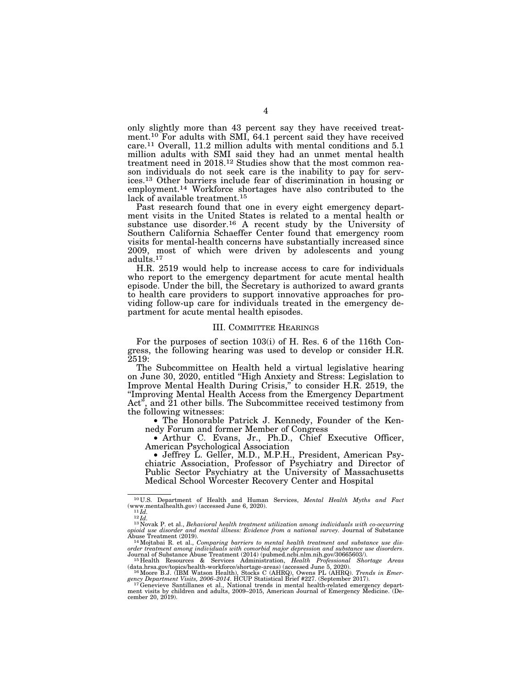only slightly more than 43 percent say they have received treatment.<sup>10</sup> For adults with SMI, 64.1 percent said they have received care.11 Overall, 11.2 million adults with mental conditions and 5.1 million adults with SMI said they had an unmet mental health treatment need in 2018.12 Studies show that the most common reason individuals do not seek care is the inability to pay for services.13 Other barriers include fear of discrimination in housing or employment.<sup>14</sup> Workforce shortages have also contributed to the lack of available treatment.15

Past research found that one in every eight emergency department visits in the United States is related to a mental health or substance use disorder.<sup>16</sup> A recent study by the University of Southern California Schaeffer Center found that emergency room visits for mental-health concerns have substantially increased since 2009, most of which were driven by adolescents and young adults.17

H.R. 2519 would help to increase access to care for individuals who report to the emergency department for acute mental health episode. Under the bill, the Secretary is authorized to award grants to health care providers to support innovative approaches for providing follow-up care for individuals treated in the emergency department for acute mental health episodes.

#### III. COMMITTEE HEARINGS

For the purposes of section 103(i) of H. Res. 6 of the 116th Congress, the following hearing was used to develop or consider H.R. 2519:

The Subcommittee on Health held a virtual legislative hearing on June 30, 2020, entitled ''High Anxiety and Stress: Legislation to Improve Mental Health During Crisis,'' to consider H.R. 2519, the ''Improving Mental Health Access from the Emergency Department Act", and  $\bar{2}1$  other bills. The Subcommittee received testimony from the following witnesses:

• The Honorable Patrick J. Kennedy, Founder of the Kennedy Forum and former Member of Congress

• Arthur C. Evans, Jr., Ph.D., Chief Executive Officer, American Psychological Association

• Jeffrey L. Geller, M.D., M.P.H., President, American Psychiatric Association, Professor of Psychiatry and Director of Public Sector Psychiatry at the University of Massachusetts Medical School Worcester Recovery Center and Hospital

<sup>&</sup>lt;sup>10</sup> U.S. Department of Health and Human Services, *Mental Health Myths and Fact* (www.mentalhealth.gov) (accessed June 6, 2020).<br><sup>11</sup>*Id.*<br><sup>12</sup>*Id.*<br><sup>13</sup>Novak P. et al., *Behavioral health treatment utilization among ind* 

*opioid use disorder and mental illness: Evidence from a national survey.* Journal of Substance Abuse Treatment (2019).

<sup>&</sup>lt;sup>14</sup>Mojtabai R. et al., *Comparing barriers to mental health treatment and substance use dis*order treatment among individuals with comorbid major depression and substance use disorders.<br>Journal of Substance Abuse Treatment (2014) (pubmed.ncbi.nlm.nih.gov/30665603/).<br><sup>15</sup>Health Resources & Services Administration,

<sup>(</sup>data.hrsa.gov/topics/health-workforce/shortage-areas) (accessed June 5, 2020). 16Moore B.J. (IBM Watson Health), Stocks C (AHRQ), Owens PL (AHRQ). *Trends in Emer-*

gency Department Visits, 2006–2014. HCUP Statistical Brief #227. (September 2017).<br><sup>17</sup>Genevieve Santillanes et al., National trends in mental health-related emergency depart-<br>ment visits by children and adults, 2009–2015, cember 20, 2019).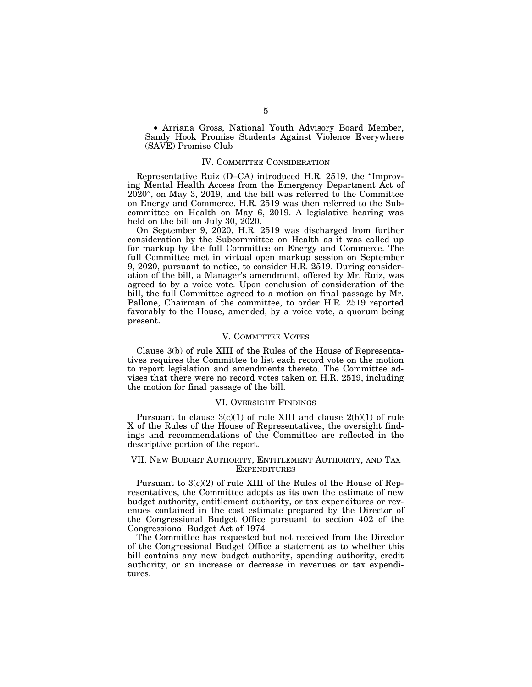• Arriana Gross, National Youth Advisory Board Member, Sandy Hook Promise Students Against Violence Everywhere (SAVE) Promise Club

## IV. COMMITTEE CONSIDERATION

Representative Ruiz (D–CA) introduced H.R. 2519, the ''Improving Mental Health Access from the Emergency Department Act of 2020'', on May 3, 2019, and the bill was referred to the Committee on Energy and Commerce. H.R. 2519 was then referred to the Subcommittee on Health on May 6, 2019. A legislative hearing was held on the bill on July 30, 2020.

On September 9, 2020, H.R. 2519 was discharged from further consideration by the Subcommittee on Health as it was called up for markup by the full Committee on Energy and Commerce. The full Committee met in virtual open markup session on September 9, 2020, pursuant to notice, to consider H.R. 2519. During consideration of the bill, a Manager's amendment, offered by Mr. Ruiz, was agreed to by a voice vote. Upon conclusion of consideration of the bill, the full Committee agreed to a motion on final passage by Mr. Pallone, Chairman of the committee, to order H.R. 2519 reported favorably to the House, amended, by a voice vote, a quorum being present.

#### V. COMMITTEE VOTES

Clause 3(b) of rule XIII of the Rules of the House of Representatives requires the Committee to list each record vote on the motion to report legislation and amendments thereto. The Committee advises that there were no record votes taken on H.R. 2519, including the motion for final passage of the bill.

## VI. OVERSIGHT FINDINGS

Pursuant to clause  $3(c)(1)$  of rule XIII and clause  $2(b)(1)$  of rule X of the Rules of the House of Representatives, the oversight findings and recommendations of the Committee are reflected in the descriptive portion of the report.

### VII. NEW BUDGET AUTHORITY, ENTITLEMENT AUTHORITY, AND TAX **EXPENDITURES**

Pursuant to 3(c)(2) of rule XIII of the Rules of the House of Representatives, the Committee adopts as its own the estimate of new budget authority, entitlement authority, or tax expenditures or revenues contained in the cost estimate prepared by the Director of the Congressional Budget Office pursuant to section 402 of the Congressional Budget Act of 1974.

The Committee has requested but not received from the Director of the Congressional Budget Office a statement as to whether this bill contains any new budget authority, spending authority, credit authority, or an increase or decrease in revenues or tax expenditures.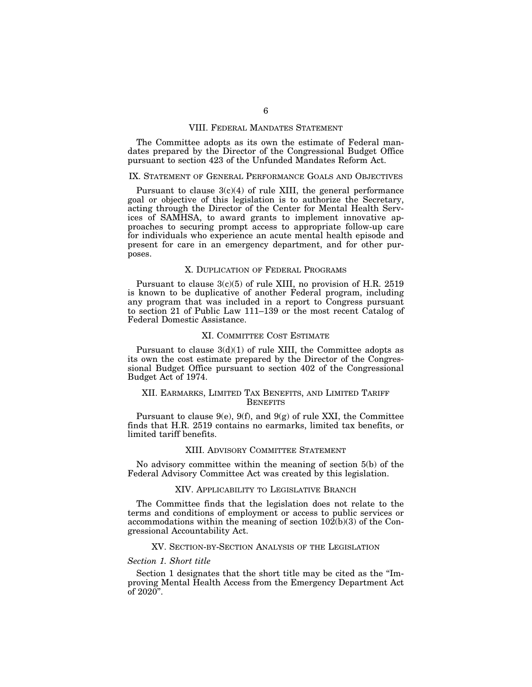#### VIII. FEDERAL MANDATES STATEMENT

The Committee adopts as its own the estimate of Federal mandates prepared by the Director of the Congressional Budget Office pursuant to section 423 of the Unfunded Mandates Reform Act.

#### IX. STATEMENT OF GENERAL PERFORMANCE GOALS AND OBJECTIVES

Pursuant to clause  $3(c)(4)$  of rule XIII, the general performance goal or objective of this legislation is to authorize the Secretary, acting through the Director of the Center for Mental Health Services of SAMHSA, to award grants to implement innovative approaches to securing prompt access to appropriate follow-up care for individuals who experience an acute mental health episode and present for care in an emergency department, and for other purposes.

#### X. DUPLICATION OF FEDERAL PROGRAMS

Pursuant to clause 3(c)(5) of rule XIII, no provision of H.R. 2519 is known to be duplicative of another Federal program, including any program that was included in a report to Congress pursuant to section 21 of Public Law 111–139 or the most recent Catalog of Federal Domestic Assistance.

#### XI. COMMITTEE COST ESTIMATE

Pursuant to clause  $3(d)(1)$  of rule XIII, the Committee adopts as its own the cost estimate prepared by the Director of the Congressional Budget Office pursuant to section 402 of the Congressional Budget Act of 1974.

## XII. EARMARKS, LIMITED TAX BENEFITS, AND LIMITED TARIFF **BENEFITS**

Pursuant to clause  $9(e)$ ,  $9(f)$ , and  $9(g)$  of rule XXI, the Committee finds that H.R. 2519 contains no earmarks, limited tax benefits, or limited tariff benefits.

### XIII. ADVISORY COMMITTEE STATEMENT

No advisory committee within the meaning of section 5(b) of the Federal Advisory Committee Act was created by this legislation.

#### XIV. APPLICABILITY TO LEGISLATIVE BRANCH

The Committee finds that the legislation does not relate to the terms and conditions of employment or access to public services or accommodations within the meaning of section 102(b)(3) of the Congressional Accountability Act.

#### XV. SECTION-BY-SECTION ANALYSIS OF THE LEGISLATION

#### *Section 1. Short title*

Section 1 designates that the short title may be cited as the ''Improving Mental Health Access from the Emergency Department Act of  $2020$ ".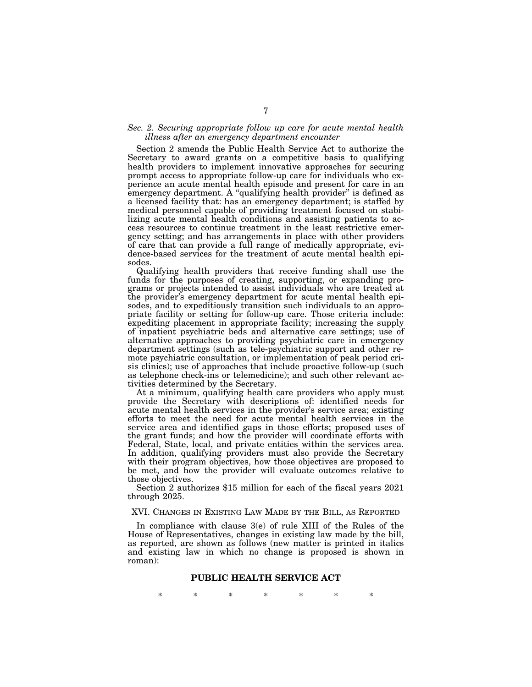## *Sec. 2. Securing appropriate follow up care for acute mental health illness after an emergency department encounter*

Section 2 amends the Public Health Service Act to authorize the Secretary to award grants on a competitive basis to qualifying health providers to implement innovative approaches for securing prompt access to appropriate follow-up care for individuals who experience an acute mental health episode and present for care in an emergency department. A "qualifying health provider" is defined as a licensed facility that: has an emergency department; is staffed by medical personnel capable of providing treatment focused on stabilizing acute mental health conditions and assisting patients to access resources to continue treatment in the least restrictive emergency setting; and has arrangements in place with other providers of care that can provide a full range of medically appropriate, evidence-based services for the treatment of acute mental health episodes.

Qualifying health providers that receive funding shall use the funds for the purposes of creating, supporting, or expanding programs or projects intended to assist individuals who are treated at the provider's emergency department for acute mental health episodes, and to expeditiously transition such individuals to an appropriate facility or setting for follow-up care. Those criteria include: expediting placement in appropriate facility; increasing the supply of inpatient psychiatric beds and alternative care settings; use of alternative approaches to providing psychiatric care in emergency department settings (such as tele-psychiatric support and other remote psychiatric consultation, or implementation of peak period crisis clinics); use of approaches that include proactive follow-up (such as telephone check-ins or telemedicine); and such other relevant activities determined by the Secretary.

At a minimum, qualifying health care providers who apply must provide the Secretary with descriptions of: identified needs for acute mental health services in the provider's service area; existing efforts to meet the need for acute mental health services in the service area and identified gaps in those efforts; proposed uses of the grant funds; and how the provider will coordinate efforts with Federal, State, local, and private entities within the services area. In addition, qualifying providers must also provide the Secretary with their program objectives, how those objectives are proposed to be met, and how the provider will evaluate outcomes relative to those objectives.

Section 2 authorizes \$15 million for each of the fiscal years 2021 through 2025.

XVI. CHANGES IN EXISTING LAW MADE BY THE BILL, AS REPORTED

In compliance with clause 3(e) of rule XIII of the Rules of the House of Representatives, changes in existing law made by the bill, as reported, are shown as follows (new matter is printed in italics and existing law in which no change is proposed is shown in roman):

## **PUBLIC HEALTH SERVICE ACT**

\* \* \* \* \* \* \*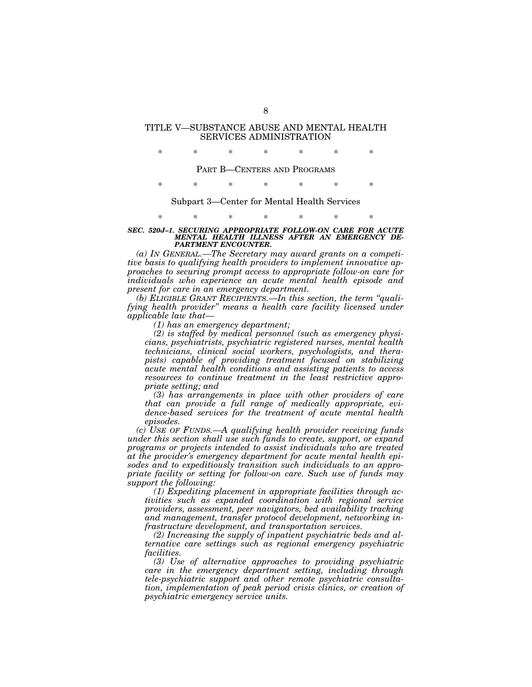## TITLE V—SUBSTANCE ABUSE AND MENTAL HEALTH SERVICES ADMINISTRATION

\* \* \* \* \* \* \*

PART B—CENTERS AND PROGRAMS

\* \* \* \* \* \* \*

Subpart 3—Center for Mental Health Services

# \* \* \* \* \* \* \*

#### *SEC. 520J–1. SECURING APPROPRIATE FOLLOW-ON CARE FOR ACUTE MENTAL HEALTH ILLNESS AFTER AN EMERGENCY DE-PARTMENT ENCOUNTER.*

*(a) IN GENERAL.—The Secretary may award grants on a competitive basis to qualifying health providers to implement innovative approaches to securing prompt access to appropriate follow-on care for individuals who experience an acute mental health episode and present for care in an emergency department.* 

*(b) ELIGIBLE GRANT RECIPIENTS.—In this section, the term ''qualifying health provider'' means a health care facility licensed under applicable law that—* 

*(1) has an emergency department;* 

*(2) is staffed by medical personnel (such as emergency physicians, psychiatrists, psychiatric registered nurses, mental health technicians, clinical social workers, psychologists, and therapists) capable of providing treatment focused on stabilizing acute mental health conditions and assisting patients to access resources to continue treatment in the least restrictive appropriate setting; and* 

*(3) has arrangements in place with other providers of care that can provide a full range of medically appropriate, evidence-based services for the treatment of acute mental health episodes.* 

*(c) USE OF FUNDS.—A qualifying health provider receiving funds under this section shall use such funds to create, support, or expand programs or projects intended to assist individuals who are treated at the provider's emergency department for acute mental health episodes and to expeditiously transition such individuals to an appropriate facility or setting for follow-on care. Such use of funds may support the following:* 

*(1) Expediting placement in appropriate facilities through activities such as expanded coordination with regional service providers, assessment, peer navigators, bed availability tracking and management, transfer protocol development, networking infrastructure development, and transportation services.* 

*(2) Increasing the supply of inpatient psychiatric beds and alternative care settings such as regional emergency psychiatric facilities.* 

*(3) Use of alternative approaches to providing psychiatric care in the emergency department setting, including through tele-psychiatric support and other remote psychiatric consultation, implementation of peak period crisis clinics, or creation of psychiatric emergency service units.*